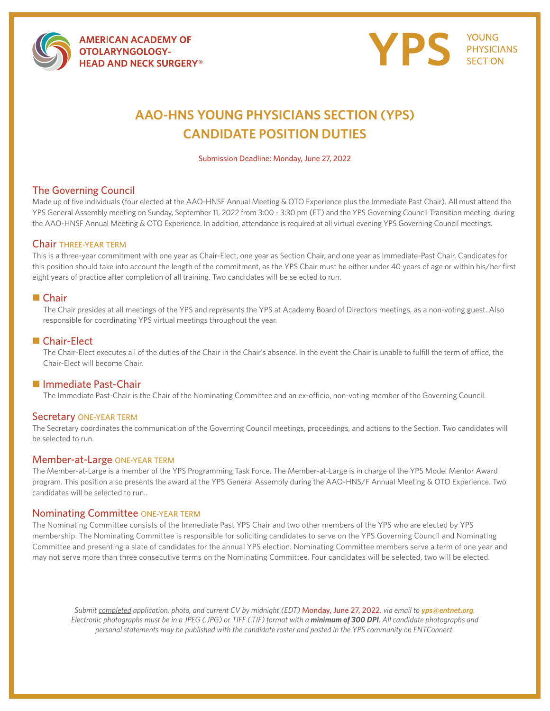

**AMERICAN ACADEMY OF OTOLARYNGOLOGY-HEAD AND NECK SURGERY®** 



# **AAO-HNS YOUNG PHYSICIANS SECTION (YPS) CANDIDATE POSITION DUTIES**

Submission Deadline: Monday, June 27, 2022

### The Governing Council

Made up of five individuals (four elected at the AAO-HNSF Annual Meeting & OTO Experience plus the Immediate Past Chair). All must attend the YPS General Assembly meeting on Sunday, September 11, 2022 from 3:00 - 3:30 pm (ET) and the YPS Governing Council Transition meeting, during the AAO-HNSF Annual Meeting & OTO Experience. In addition, attendance is required at all virtual evening YPS Governing Council meetings.

#### Chair THREE-YEAR TERM

This is a three-year commitment with one year as Chair-Elect, one year as Section Chair, and one year as Immediate-Past Chair. Candidates for this position should take into account the length of the commitment, as the YPS Chair must be either under 40 years of age or within his/her first eight years of practice after completion of all training. Two candidates will be selected to run.

#### **■** Chair

The Chair presides at all meetings of the YPS and represents the YPS at Academy Board of Directors meetings, as a non-voting guest. Also responsible for coordinating YPS virtual meetings throughout the year.

#### ■ Chair-Elect

The Chair-Elect executes all of the duties of the Chair in the Chair's absence. In the event the Chair is unable to fulfill the term of office, the Chair-Elect will become Chair.

#### ■ Immediate Past-Chair

The Immediate Past-Chair is the Chair of the Nominating Committee and an ex-officio, non-voting member of the Governing Council.

#### Secretary ONE-YEAR TERM

The Secretary coordinates the communication of the Governing Council meetings, proceedings, and actions to the Section. Two candidates will be selected to run.

#### Member-at-Large ONE-YEAR TERM

The Member-at-Large is a member of the YPS Programming Task Force. The Member-at-Large is in charge of the YPS Model Mentor Award program. This position also presents the award at the YPS General Assembly during the AAO-HNS/F Annual Meeting & OTO Experience. Two candidates will be selected to run..

#### Nominating Committee ONE-YEAR TERM

The Nominating Committee consists of the Immediate Past YPS Chair and two other members of the YPS who are elected by YPS membership. The Nominating Committee is responsible for soliciting candidates to serve on the YPS Governing Council and Nominating Committee and presenting a slate of candidates for the annual YPS election. Nominating Committee members serve a term of one year and may not serve more than three consecutive terms on the Nominating Committee. Four candidates will be selected, two will be elected.

*Submit completed application, photo, and current CV by midnight (EDT) Monday, June 27, 2022, via email to yps@entnet.org. Electronic photographs must be in a JPEG (.JPG) or TIFF (.TIF) format with a minimum of 300 DPI. All candidate photographs and personal statements may be published with the candidate roster and posted in the YPS community on ENTConnect.*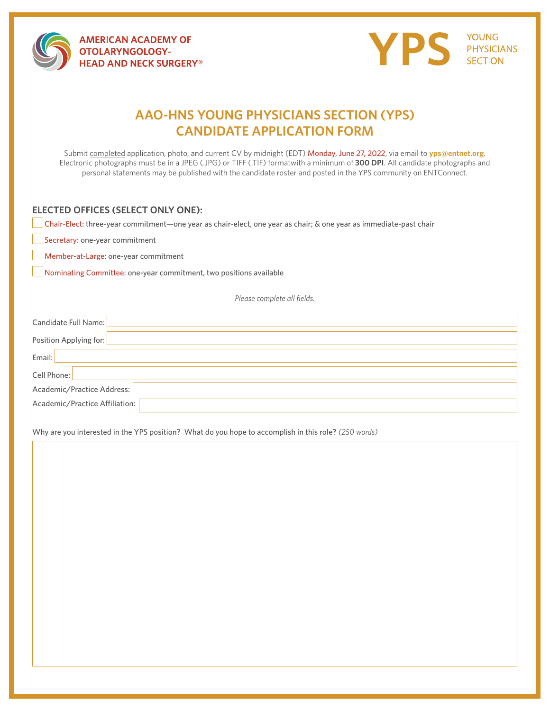

**AMERICAN ACADEMY OF OTOLARYNGOLOGY-HEAD AND NECK SURGERY®** 



## **AAO-HNS YOUNG PHYSICIANS SECTION (YPS) CANDIDATE APPLICATION FORM**

Submit completed application, photo, and current CV by midnight (EDT) Monday, June 27, 2022, via email to **yps@entnet.org**. Electronic photographs must be in a JPEG (.JPG) or TIFF (.TIF) formatwith a minimum of **300 DPI**. All candidate photographs and personal statements may be published with the candidate roster and posted in the YPS community on ENTConnect.

#### **ELECTED OFFICES (SELECT ONLY ONE):**

Chair-Elect: three-year commitment—one year as chair-elect, one year as chair; & one year as immediate-past chair

Secretary: one-year commitment

Member-at-Large: one-year commitment

Nominating Committee: one-year commitment, two positions available

*Please complete all fields.* 

| Candidate Full Name:           |
|--------------------------------|
| Position Applying for:         |
| Email:                         |
| Cell Phone:                    |
| Academic/Practice Address:     |
| Academic/Practice Affiliation: |
|                                |

Why are you interested in the YPS position? What do you hope to accomplish in this role? *(250 words)*